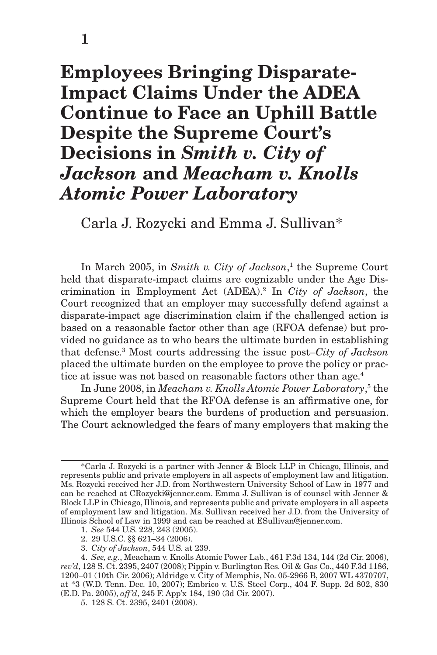# **Employees Bringing Disparate-Impact Claims Under the ADEA Continue to Face an Uphill Battle Despite the Supreme Court's Decisions in** *Smith v. City of Jackson* **and** *Meacham v. Knolls Atomic Power Laboratory*

Carla J. Rozycki and Emma J. Sullivan\*

In March 2005, in *Smith v. City of Jackson*,<sup>1</sup> the Supreme Court held that disparate-impact claims are cognizable under the Age Discrimination in Employment Act (ADEA).<sup>2</sup> In *City of Jackson*, the Court recognized that an employer may successfully defend against a disparate-impact age discrimination claim if the challenged action is based on a reasonable factor other than age (RFOA defense) but provided no guidance as to who bears the ultimate burden in establishing that defense.<sup>3</sup> Most courts addressing the issue post–City of Jackson placed the ultimate burden on the employee to prove the policy or practice at issue was not based on reasonable factors other than age.<sup>4</sup>

In June 2008, in *Meacham v. Knolls Atomic Power Laboratory*,<sup>5</sup> the Supreme Court held that the RFOA defense is an affirmative one, for which the employer bears the burdens of production and persuasion. The Court acknowledged the fears of many employers that making the

- 1. *See* 544 U.S. 228, 243 (2005).
- 2. 29 U.S.C. §§ 621–34 (2006).
- 3. *City of Jackson*, 544 U.S. at 239.

<sup>\*</sup>Carla J. Rozycki is a partner with Jenner & Block LLP in Chicago, Illinois, and represents public and private employers in all aspects of employment law and litigation. Ms. Rozycki received her J.D. from Northwestern University School of Law in 1977 and can be reached at CRozycki@jenner.com. Emma J. Sullivan is of counsel with Jenner & Block LLP in Chicago, Illinois, and represents public and private employers in all aspects of employment law and litigation. Ms. Sullivan received her J.D. from the University of Illinois School of Law in 1999 and can be reached at ESullivan@jenner.com.

<sup>4.</sup> *See, e.g*., Meacham v. Knolls Atomic Power Lab., 461 F.3d 134, 144 (2d Cir. 2006), *rev'd*, 128 S. Ct. 2395, 2407 (2008); Pippin v. Burlington Res. Oil & Gas Co., 440 F.3d 1186, 1200–01 (10th Cir. 2006); Aldridge v. City of Memphis, No. 05-2966 B, 2007 WL 4370707, at \*3 (W.D. Tenn. Dec. 10, 2007); Embrico v. U.S. Steel Corp., 404 F. Supp. 2d 802, 830 (E.D. Pa. 2005), *aff'd*, 245 F. App'x 184, 190 (3d Cir. 2007).

<sup>5. 128</sup> S. Ct. 2395, 2401 (2008).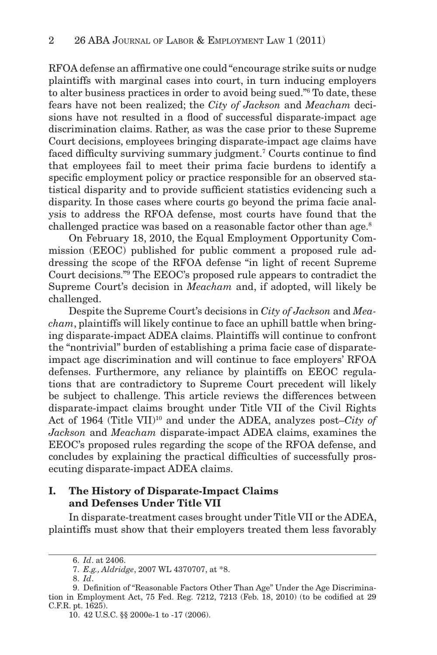RFOA defense an affirmative one could "encourage strike suits or nudge plaintiffs with marginal cases into court, in turn inducing employers to alter business practices in order to avoid being sued."<sup>6</sup> To date, these fears have not been realized; the *City of Jackson* and *Meacham* decisions have not resulted in a flood of successful disparate-impact age discrimination claims. Rather, as was the case prior to these Supreme Court decisions, employees bringing disparate-impact age claims have faced difficulty surviving summary judgment.<sup>7</sup> Courts continue to find that employees fail to meet their prima facie burdens to identify a specific employment policy or practice responsible for an observed statistical disparity and to provide sufficient statistics evidencing such a disparity. In those cases where courts go beyond the prima facie analysis to address the RFOA defense, most courts have found that the challenged practice was based on a reasonable factor other than age.<sup>8</sup>

On February 18, 2010, the Equal Employment Opportunity Commission (EEOC) published for public comment a proposed rule addressing the scope of the RFOA defense "in light of recent Supreme Court decisions." The EEOC's proposed rule appears to contradict the Supreme Court's decision in *Meacham* and, if adopted, will likely be challenged.

Despite the Supreme Court's decisions in *City of Jackson* and *Meacham*, plaintiffs will likely continue to face an uphill battle when bringing disparate-impact ADEA claims. Plaintiffs will continue to confront the "nontrivial" burden of establishing a prima facie case of disparateimpact age discrimination and will continue to face employers' RFOA defenses. Furthermore, any reliance by plaintiffs on EEOC regulations that are contradictory to Supreme Court precedent will likely be subject to challenge. This article reviews the differences between disparate-impact claims brought under Title VII of the Civil Rights Act of 1964 (Title VII)<sup>10</sup> and under the ADEA, analyzes post–*City of Jackson* and *Meacham* disparate-impact ADEA claims, examines the EEOC's proposed rules regarding the scope of the RFOA defense, and concludes by explaining the practical difficulties of successfully prosecuting disparate-impact ADEA claims.

### **I. The History of Disparate-Impact Claims and Defenses Under Title VII**

In disparate-treatment cases brought under Title VII or the ADEA, plaintiffs must show that their employers treated them less favorably

 <sup>6.</sup> *Id*. at 2406.

 <sup>7.</sup> *E.g., Aldridge*, 2007 WL 4370707, at \*8.

 <sup>8.</sup> *Id*.

<sup>9.</sup> Definition of "Reasonable Factors Other Than Age" Under the Age Discrimination in Employment Act, 75 Fed. Reg.  $7212$ ,  $7213$  (Feb. 18,  $2010$ ) (to be codified at  $29$ C.F.R. pt. 1625).

<sup>10. 42</sup> U.S.C. §§ 2000e-1 to -17 (2006).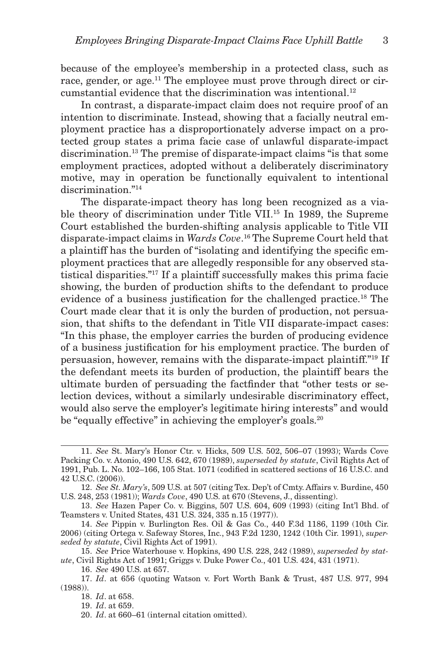because of the employee's membership in a protected class, such as race, gender, or age.<sup>11</sup> The employee must prove through direct or circumstantial evidence that the discrimination was intentional. 12

In contrast, a disparate-impact claim does not require proof of an intention to discriminate. Instead, showing that a facially neutral employment practice has a disproportionately adverse impact on a protected group states a prima facie case of unlawful disparate-impact discrimination. 13 The premise of disparate-impact claims "is that some employment practices, adopted without a deliberately discriminatory motive, may in operation be functionally equivalent to intentional discrimination."<sup>14</sup>

The disparate-impact theory has long been recognized as a viable theory of discrimination under Title VII.<sup>15</sup> In 1989, the Supreme Court established the burden-shifting analysis applicable to Title VII disparate-impact claims in *Wards Cove*. 16 The Supreme Court held that a plaintiff has the burden of "isolating and identifying the specific employment practices that are allegedly responsible for any observed statistical disparities."<sup>17</sup> If a plaintiff successfully makes this prima facie showing, the burden of production shifts to the defendant to produce evidence of a business justification for the challenged practice.<sup>18</sup> The Court made clear that it is only the burden of production, not persuasion, that shifts to the defendant in Title VII disparate-impact cases: "In this phase, the employer carries the burden of producing evidence of a business justification for his employment practice. The burden of persuasion, however, remains with the disparate-impact plaintiff."<sup>19</sup> If the defendant meets its burden of production, the plaintiff bears the ultimate burden of persuading the factfinder that "other tests or selection devices, without a similarly undesirable discriminatory effect, would also serve the employer's legitimate hiring interests" and would be "equally effective" in achieving the employer's goals.<sup>20</sup>

<sup>11.</sup> *See* St. Mary's Honor Ctr. v. Hicks, 509 U.S. 502, 506–07 (1993); Wards Cove Packing Co. v. Atonio, 490 U.S. 642, 670 (1989), *superseded by statute*, Civil Rights Act of 1991, Pub. L. No. 102–166, 105 Stat. 1071 (codified in scattered sections of 16 U.S.C. and 42 U.S.C. (2006)).

<sup>12.</sup> *See St. Mary's*, 509 U.S. at 507 (citing Tex. Dep't of Cmty. Affairs v. Burdine, 450 U.S. 248, 253 (1981)); *Wards Cove*, 490 U.S. at 670 (Stevens, J., dissenting).

<sup>13.</sup> *See* Hazen Paper Co. v. Biggins, 507 U.S. 604, 609 (1993) (citing Int'l Bhd. of Teamsters v. United States, 431 U.S. 324, 335 n.15 (1977)).

<sup>14.</sup> *See* Pippin v. Burlington Res. Oil & Gas Co., 440 F.3d 1186, 1199 (10th Cir. 2006) (citing Ortega v. Safeway Stores, Inc., 943 F.2d 1230, 1242 (10th Cir. 1991), *superseded by statute*, Civil Rights Act of 1991).

<sup>15.</sup> *See* Price Waterhouse v. Hopkins, 490 U.S. 228, 242 (1989), *superseded by statute*, Civil Rights Act of 1991; Griggs v. Duke Power Co., 401 U.S. 424, 431 (1971).

<sup>16.</sup> *See* 490 U.S. at 657.

<sup>17.</sup> *Id*. at 656 (quoting Watson v. Fort Worth Bank & Trust, 487 U.S. 977, 994 (1988)).

<sup>18.</sup> *Id*. at 658.

<sup>19.</sup> *Id*. at 659.

<sup>20.</sup> *Id*. at 660–61 (internal citation omitted).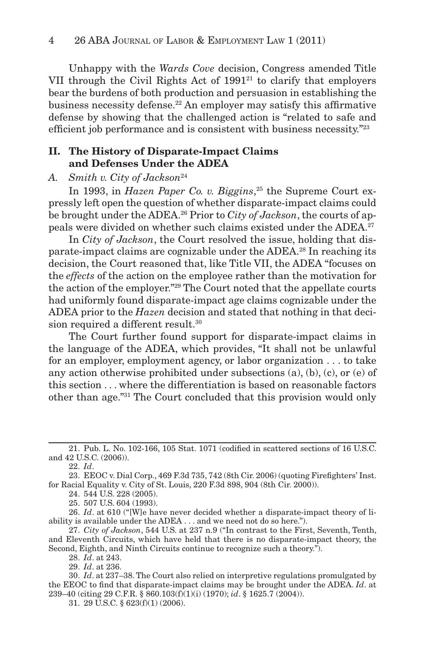Unhappy with the *Wards Cove* decision, Congress amended Title VII through the Civil Rights Act of  $1991<sup>21</sup>$  to clarify that employers bear the burdens of both production and persuasion in establishing the business necessity defense.<sup>22</sup> An employer may satisfy this affirmative defense by showing that the challenged action is "related to safe and efficient job performance and is consistent with business necessity."23

### **II. The History of Disparate-Impact Claims and Defenses Under the ADEA**

#### *A. Smith v. City of Jackson* <sup>24</sup>

In 1993, in *Hazen Paper Co. v. Biggins*,<sup>25</sup> the Supreme Court expressly left open the question of whether disparate-impact claims could be brought under the ADEA. 26 Prior to *City of Jackson*, the courts of appeals were divided on whether such claims existed under the ADEA.<sup>27</sup>

In *City of Jackson*, the Court resolved the issue, holding that disparate-impact claims are cognizable under the ADEA.<sup>28</sup> In reaching its decision, the Court reasoned that, like Title VII, the ADEA "focuses on the *effects* of the action on the employee rather than the motivation for the action of the employer."<sup>29</sup> The Court noted that the appellate courts had uniformly found disparate-impact age claims cognizable under the ADEA prior to the *Hazen* decision and stated that nothing in that decision required a different result.<sup>30</sup>

The Court further found support for disparate-impact claims in the language of the ADEA, which provides, "It shall not be unlawful for an employer, employment agency, or labor organization . . . to take any action otherwise prohibited under subsections (a), (b), (c), or (e) of this section . . . where the differentiation is based on reasonable factors other than age."<sup>31</sup> The Court concluded that this provision would only

22. *Id*.

24. 544 U.S. 228 (2005).

25. 507 U.S. 604 (1993).

26. *Id*. at 610 ("[W]e have never decided whether a disparate-impact theory of liability is available under the ADEA . . . and we need not do so here.").

27. *City of Jackson*, 544 U.S. at 237 n.9 ("In contrast to the First, Seventh, Tenth, and Eleventh Circuits, which have held that there is no disparate-impact theory, the Second, Eighth, and Ninth Circuits continue to recognize such a theory.").

28. *Id*. at 243.

29. *Id*. at 236.

30. *Id*. at 237–38. The Court also relied on interpretive regulations promulgated by the EEOC to find that disparate-impact claims may be brought under the ADEA. *Id*. at 239–40 (citing 29 C.F.R. § 860.103(f)(1)(i) (1970); *id*. § 1625.7 (2004)).

31. 29 U.S.C. § 623(f)(1) (2006).

<sup>21.</sup> Pub. L. No. 102-166, 105 Stat. 1071 (codified in scattered sections of 16 U.S.C. and 42 U.S.C. (2006)).

<sup>23.</sup> EEOC v. Dial Corp., 469 F.3d 735, 742 (8th Cir. 2006) (quoting Firefighters' Inst. for Racial Equality v. City of St. Louis, 220 F.3d 898, 904 (8th Cir. 2000)).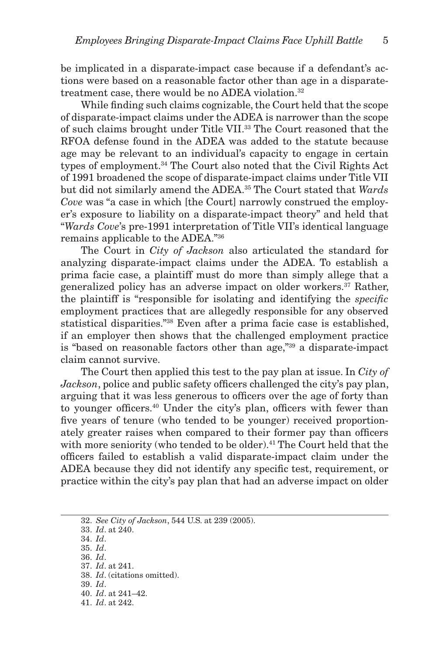be implicated in a disparate-impact case because if a defendant's actions were based on a reasonable factor other than age in a disparatetreatment case, there would be no ADEA violation. 32

While finding such claims cognizable, the Court held that the scope of disparate-impact claims under the ADEA is narrower than the scope of such claims brought under Title VII. 33 The Court reasoned that the RFOA defense found in the ADEA was added to the statute because age may be relevant to an individual's capacity to engage in certain types of employment. 34 The Court also noted that the Civil Rights Act of 1991 broadened the scope of disparate-impact claims under Title VII but did not similarly amend the ADEA. 35 The Court stated that *Wards Cove* was "a case in which [the Court] narrowly construed the employer's exposure to liability on a disparate-impact theory" and held that " *Wards Cove*'s pre-1991 interpretation of Title VII's identical language remains applicable to the ADEA." 36

The Court in *City of Jackson* also articulated the standard for analyzing disparate-impact claims under the ADEA. To establish a prima facie case, a plaintiff must do more than simply allege that a generalized policy has an adverse impact on older workers. 37 Rather, the plaintiff is "responsible for isolating and identifying the *specific* employment practices that are allegedly responsible for any observed statistical disparities."<sup>38</sup> Even after a prima facie case is established, if an employer then shows that the challenged employment practice is "based on reasonable factors other than age,"<sup>39</sup> a disparate-impact claim cannot survive.

The Court then applied this test to the pay plan at issue. In *City of Jackson*, police and public safety officers challenged the city's pay plan, arguing that it was less generous to officers over the age of forty than to younger officers.<sup>40</sup> Under the city's plan, officers with fewer than five years of tenure (who tended to be younger) received proportionately greater raises when compared to their former pay than officers with more seniority (who tended to be older).<sup>41</sup> The Court held that the offi cers failed to establish a valid disparate-impact claim under the ADEA because they did not identify any specific test, requirement, or practice within the city's pay plan that had an adverse impact on older

33. *Id*. at 240.

34. *Id*.

35. *Id*. 36. *Id*.

37. *Id*. at 241.

38. *Id*. (citations omitted).

39. *Id*.

40. *Id*. at 241–42.

41. *Id*. at 242.

<sup>32.</sup> *See City of Jackson*, 544 U.S. at 239 (2005).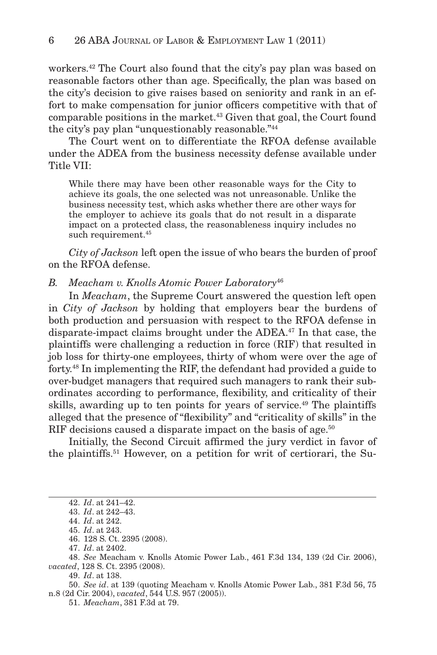workers. 42 The Court also found that the city's pay plan was based on reasonable factors other than age. Specifically, the plan was based on the city's decision to give raises based on seniority and rank in an effort to make compensation for junior officers competitive with that of comparable positions in the market. 43 Given that goal, the Court found the city's pay plan "unquestionably reasonable."<sup>44</sup>

The Court went on to differentiate the RFOA defense available under the ADEA from the business necessity defense available under Title VII:

While there may have been other reasonable ways for the City to achieve its goals, the one selected was not unreasonable. Unlike the business necessity test, which asks whether there are other ways for the employer to achieve its goals that do not result in a disparate impact on a protected class, the reasonableness inquiry includes no such requirement.<sup>45</sup>

*City of Jackson* left open the issue of who bears the burden of proof on the RFOA defense.

*B. Meacham v. Knolls Atomic Power Laboratory* <sup>46</sup>

In *Meacham*, the Supreme Court answered the question left open in *City of Jackson* by holding that employers bear the burdens of both production and persuasion with respect to the RFOA defense in disparate-impact claims brought under the ADEA. 47 In that case, the plaintiffs were challenging a reduction in force (RIF) that resulted in job loss for thirty-one employees, thirty of whom were over the age of forty. 48 In implementing the RIF, the defendant had provided a guide to over-budget managers that required such managers to rank their subordinates according to performance, flexibility, and criticality of their skills, awarding up to ten points for years of service. 49 The plaintiffs alleged that the presence of "flexibility" and "criticality of skills" in the RIF decisions caused a disparate impact on the basis of age.<sup>50</sup>

Initially, the Second Circuit affirmed the jury verdict in favor of the plaintiffs. 51 However, on a petition for writ of certiorari, the Su-

<sup>42.</sup> *Id*. at 241–42.

<sup>43.</sup> *Id*. at 242–43.

<sup>44.</sup> *Id*. at 242.

<sup>45.</sup> *Id*. at 243.

<sup>46. 128</sup> S. Ct. 2395 (2008).

<sup>47.</sup> *Id*. at 2402.

<sup>48.</sup> *See* Meacham v. Knolls Atomic Power Lab., 461 F.3d 134, 139 (2d Cir. 2006), *vacated*, 128 S. Ct. 2395 (2008).

<sup>49.</sup> *Id*. at 138.

<sup>50.</sup> *See id*. at 139 (quoting Meacham v. Knolls Atomic Power Lab., 381 F.3d 56, 75 n.8 (2d Cir. 2004), *vacated*, 544 U.S. 957 (2005)).

<sup>51.</sup> *Meacham*, 381 F.3d at 79.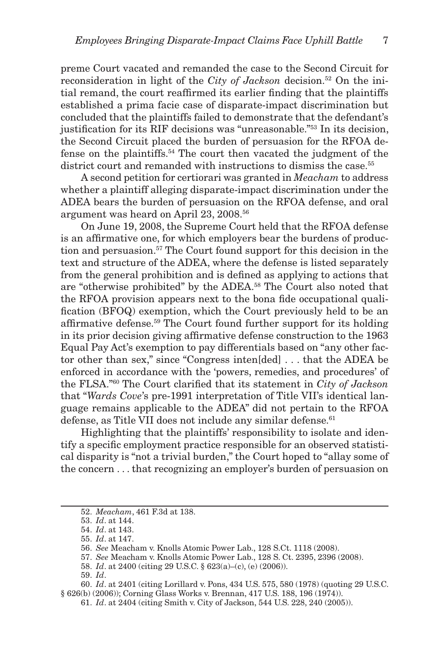preme Court vacated and remanded the case to the Second Circuit for reconsideration in light of the *City of Jackson* decision.<sup>52</sup> On the initial remand, the court reaffirmed its earlier finding that the plaintiffs established a prima facie case of disparate-impact discrimination but concluded that the plaintiffs failed to demonstrate that the defendant's justification for its RIF decisions was "unreasonable."<sup>53</sup> In its decision, the Second Circuit placed the burden of persuasion for the RFOA defense on the plaintiffs. 54 The court then vacated the judgment of the district court and remanded with instructions to dismiss the case.<sup>55</sup>

A second petition for certiorari was granted in *Meacham* to address whether a plaintiff alleging disparate-impact discrimination under the ADEA bears the burden of persuasion on the RFOA defense, and oral argument was heard on April 23, 2008. 56

On June 19, 2008, the Supreme Court held that the RFOA defense is an affirmative one, for which employers bear the burdens of production and persuasion. 57 The Court found support for this decision in the text and structure of the ADEA, where the defense is listed separately from the general prohibition and is defined as applying to actions that are "otherwise prohibited" by the ADEA.<sup>58</sup> The Court also noted that the RFOA provision appears next to the bona fide occupational qualification (BFOQ) exemption, which the Court previously held to be an affirmative defense.<sup>59</sup> The Court found further support for its holding in its prior decision giving affirmative defense construction to the 1963 Equal Pay Act's exemption to pay differentials based on "any other factor other than sex," since "Congress inten[ded] . . . that the ADEA be enforced in accordance with the 'powers, remedies, and procedures' of the FLSA."<sup>60</sup> The Court clarified that its statement in *City of Jackson* that " *Wards Cove*'s pre-1991 interpretation of Title VII's identical language remains applicable to the ADEA" did not pertain to the RFOA defense, as Title VII does not include any similar defense.<sup>61</sup>

Highlighting that the plaintiffs' responsibility to isolate and identify a specific employment practice responsible for an observed statistical disparity is "not a trivial burden," the Court hoped to "allay some of the concern . . . that recognizing an employer's burden of persuasion on

<sup>52.</sup> *Meacham*, 461 F.3d at 138.

<sup>53.</sup> *Id*. at 144.

<sup>54.</sup> *Id*. at 143.

<sup>55.</sup> *Id*. at 147.

<sup>56.</sup> *See* Meacham v. Knolls Atomic Power Lab., 128 S.Ct. 1118 (2008).

<sup>57.</sup> *See* Meacham v. Knolls Atomic Power Lab., 128 S. Ct. 2395, 2396 (2008).

<sup>58.</sup> *Id*. at 2400 (citing 29 U.S.C. § 623(a)–(c), (e) (2006)).

<sup>59.</sup> *Id*.

<sup>60.</sup> *Id*. at 2401 (citing Lorillard v. Pons, 434 U.S. 575, 580 (1978) (quoting 29 U.S.C. § 626(b) (2006)); Corning Glass Works v. Brennan, 417 U.S. 188, 196 (1974)).

<sup>61.</sup> *Id*. at 2404 (citing Smith v. City of Jackson, 544 U.S. 228, 240 (2005)).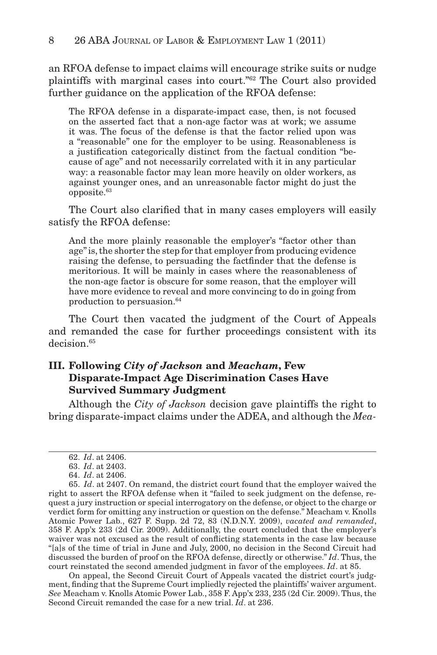an RFOA defense to impact claims will encourage strike suits or nudge plaintiffs with marginal cases into court."<sup>62</sup> The Court also provided further guidance on the application of the RFOA defense:

The RFOA defense in a disparate-impact case, then, is not focused on the asserted fact that a non-age factor was at work; we assume it was. The focus of the defense is that the factor relied upon was a "reasonable" one for the employer to be using. Reasonableness is a justification categorically distinct from the factual condition "because of age" and not necessarily correlated with it in any particular way: a reasonable factor may lean more heavily on older workers, as against younger ones, and an unreasonable factor might do just the opposite. 63

The Court also clarified that in many cases employers will easily satisfy the RFOA defense:

And the more plainly reasonable the employer's "factor other than age" is, the shorter the step for that employer from producing evidence raising the defense, to persuading the fact finder that the defense is meritorious. It will be mainly in cases where the reasonableness of the non-age factor is obscure for some reason, that the employer will have more evidence to reveal and more convincing to do in going from production to persuasion. 64

The Court then vacated the judgment of the Court of Appeals and remanded the case for further proceedings consistent with its decision. 65

## **III. Following** *City of Jackson* **and** *Meacham***, Few Disparate-Impact Age Discrimination Cases Have Survived Summary Judgment**

Although the *City of Jackson* decision gave plaintiffs the right to bring disparate-impact claims under the ADEA, and although the *Mea-*

On appeal, the Second Circuit Court of Appeals vacated the district court's judgment, finding that the Supreme Court impliedly rejected the plaintiffs' waiver argument. *See* Meacham v. Knolls Atomic Power Lab., 358 F. App'x 233, 235 (2d Cir. 2009). Thus, the Second Circuit remanded the case for a new trial. *Id*. at 236.

<sup>62.</sup> *Id*. at 2406.

<sup>63.</sup> *Id*. at 2403.

<sup>64.</sup> *Id*. at 2406.

<sup>65.</sup> *Id*. at 2407. On remand, the district court found that the employer waived the right to assert the RFOA defense when it "failed to seek judgment on the defense, request a jury instruction or special interrogatory on the defense, or object to the charge or verdict form for omitting any instruction or question on the defense." Meacham v. Knolls Atomic Power Lab., 627 F. Supp. 2d 72, 83 (N.D.N.Y. 2009), *vacated and remanded*, 358 F. App'x 233 (2d Cir. 2009). Additionally, the court concluded that the employer's waiver was not excused as the result of conflicting statements in the case law because "[a]s of the time of trial in June and July, 2000, no decision in the Second Circuit had discussed the burden of proof on the RFOA defense, directly or otherwise." *Id*. Thus, the court reinstated the second amended judgment in favor of the employees. *Id*. at 85.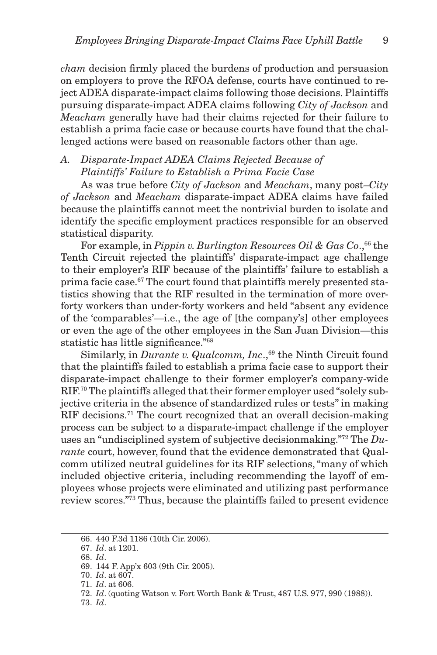*cham* decision firmly placed the burdens of production and persuasion on employers to prove the RFOA defense, courts have continued to reject ADEA disparate-impact claims following those decisions. Plaintiffs pursuing disparate-impact ADEA claims following *City of Jackson* and *Meacham* generally have had their claims rejected for their failure to establish a prima facie case or because courts have found that the challenged actions were based on reasonable factors other than age.

## *A. Disparate-Impact ADEA Claims Rejected Because of Plaintiffs' Failure to Establish a Prima Facie Case*

As was true before *City of Jackson* and *Meacham*, many post–*City of Jackson* and *Meacham* disparate-impact ADEA claims have failed because the plaintiffs cannot meet the nontrivial burden to isolate and identify the specific employment practices responsible for an observed statistical disparity.

For example, in *Pippin v. Burlington Resources Oil & Gas Co*., 66 the Tenth Circuit rejected the plaintiffs' disparate-impact age challenge to their employer's RIF because of the plaintiffs' failure to establish a prima facie case. 67 The court found that plaintiffs merely presented statistics showing that the RIF resulted in the termination of more overforty workers than under-forty workers and held "absent any evidence of the 'comparables'—i.e., the age of [the company's] other employees or even the age of the other employees in the San Juan Division—this statistic has little significance."<sup>68</sup>

Similarly, in *Durante v. Qualcomm, Inc.*,<sup>69</sup> the Ninth Circuit found that the plaintiffs failed to establish a prima facie case to support their disparate-impact challenge to their former employer's company-wide RIF.<sup>70</sup> The plaintiffs alleged that their former employer used "solely subjective criteria in the absence of standardized rules or tests" in making RIF decisions.<sup>71</sup> The court recognized that an overall decision-making process can be subject to a disparate-impact challenge if the employer uses an "undisciplined system of subjective decisionmaking."<sup>72</sup> The *Durante* court, however, found that the evidence demonstrated that Qualcomm utilized neutral guidelines for its RIF selections, "many of which included objective criteria, including recommending the layoff of employees whose projects were eliminated and utilizing past performance review scores."<sup>73</sup> Thus, because the plaintiffs failed to present evidence

<sup>66. 440</sup> F.3d 1186 (10th Cir. 2006).

<sup>67.</sup> *Id*. at 1201.

<sup>68.</sup> *Id*.

<sup>69. 144</sup> F. App'x 603 (9th Cir. 2005).

<sup>70.</sup> *Id*. at 607.

<sup>71.</sup> *Id*. at 606.

<sup>72.</sup> *Id*. (quoting Watson v. Fort Worth Bank & Trust, 487 U.S. 977, 990 (1988)).

<sup>73.</sup> *Id*.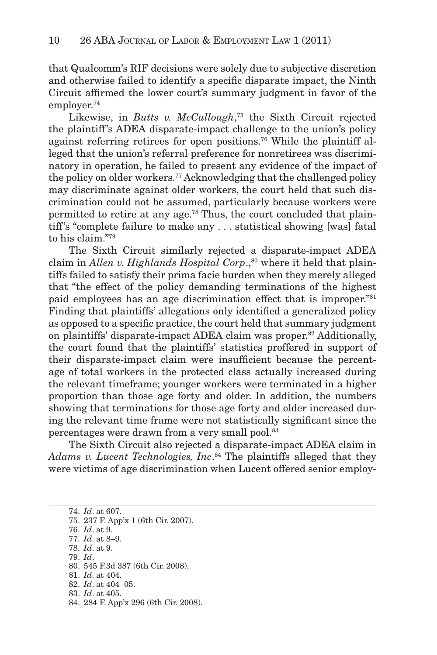that Qualcomm's RIF decisions were solely due to subjective discretion and otherwise failed to identify a specific disparate impact, the Ninth Circuit affirmed the lower court's summary judgment in favor of the employer. 74

Likewise, in *Butts v. McCullough*,<sup>75</sup> the Sixth Circuit rejected the plaintiff's ADEA disparate-impact challenge to the union's policy against referring retirees for open positions. 76 While the plaintiff alleged that the union's referral preference for nonretirees was discriminatory in operation, he failed to present any evidence of the impact of the policy on older workers. 77 Acknowledging that the challenged policy may discriminate against older workers, the court held that such discrimination could not be assumed, particularly because workers were permitted to retire at any age. 78 Thus, the court concluded that plaintiff's "complete failure to make any . . . statistical showing [was] fatal to his claim."<sup>79</sup>

The Sixth Circuit similarly rejected a disparate-impact ADEA claim in *Allen v. Highlands Hospital Corp.*,<sup>80</sup> where it held that plaintiffs failed to satisfy their prima facie burden when they merely alleged that "the effect of the policy demanding terminations of the highest paid employees has an age discrimination effect that is improper."<sup>81</sup> Finding that plaintiffs' allegations only identified a generalized policy as opposed to a specific practice, the court held that summary judgment on plaintiffs' disparate-impact ADEA claim was proper. 82 Additionally, the court found that the plaintiffs' statistics proffered in support of their disparate-impact claim were insufficient because the percentage of total workers in the protected class actually increased during the relevant timeframe; younger workers were terminated in a higher proportion than those age forty and older. In addition, the numbers showing that terminations for those age forty and older increased during the relevant time frame were not statistically significant since the percentages were drawn from a very small pool.<sup>83</sup>

The Sixth Circuit also rejected a disparate-impact ADEA claim in Adams v. Lucent Technologies, Inc.<sup>84</sup> The plaintiffs alleged that they were victims of age discrimination when Lucent offered senior employ-

74. *Id*. at 607. 75. 237 F. App'x 1 (6th Cir. 2007). 76. *Id*. at 9. 77. *Id*. at 8–9. 78. *Id*. at 9. 79. *Id*. 80. 545 F.3d 387 (6th Cir. 2008). 81. *Id*. at 404. 82. *Id*. at 404–05. 83. *Id*. at 405. 84. 284 F. App'x 296 (6th Cir. 2008).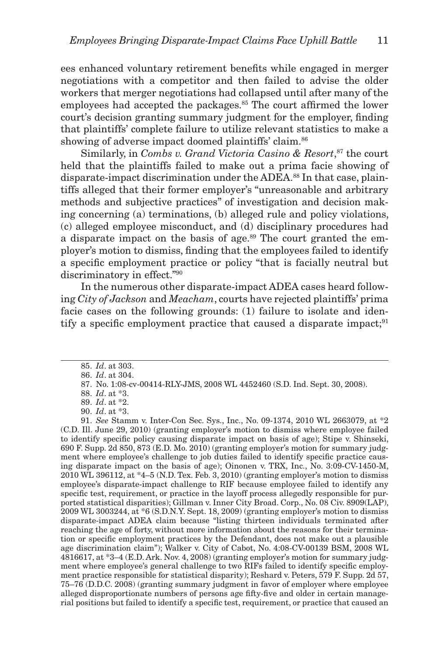ees enhanced voluntary retirement benefits while engaged in merger negotiations with a competitor and then failed to advise the older workers that merger negotiations had collapsed until after many of the employees had accepted the packages.<sup>85</sup> The court affirmed the lower court's decision granting summary judgment for the employer, finding that plaintiffs' complete failure to utilize relevant statistics to make a showing of adverse impact doomed plaintiffs' claim. 86

Similarly, in *Combs v. Grand Victoria Casino & Resort*,<sup>87</sup> the court held that the plaintiffs failed to make out a prima facie showing of disparate-impact discrimination under the ADEA. 88 In that case, plaintiffs alleged that their former employer's "unreasonable and arbitrary methods and subjective practices" of investigation and decision making concerning (a) terminations, (b) alleged rule and policy violations, (c) alleged employee misconduct, and (d) disciplinary procedures had a disparate impact on the basis of age.<sup>89</sup> The court granted the employer's motion to dismiss, finding that the employees failed to identify a specific employment practice or policy "that is facially neutral but discriminatory in effect."<sup>90</sup>

In the numerous other disparate-impact ADEA cases heard following *City of Jackson* and *Meacham*, courts have rejected plaintiffs' prima facie cases on the following grounds: (1) failure to isolate and identify a specific employment practice that caused a disparate impact;  $91$ 

91. *See* Stamm v. Inter-Con Sec. Sys., Inc., No. 09-1374, 2010 WL 2663079, at \*2 (C.D. Ill. June 29, 2010) (granting employer's motion to dismiss where employee failed to identify specific policy causing disparate impact on basis of age); Stipe v. Shinseki, 690 F. Supp. 2d 850, 873 (E.D. Mo. 2010) (granting employer's motion for summary judgment where employee's challenge to job duties failed to identify specific practice causing disparate impact on the basis of age); Oinonen v. TRX, Inc., No. 3:09-CV-1450-M,  $2010$  WL 396112, at  $*4-5$  (N.D. Tex. Feb. 3, 2010) (granting employer's motion to dismiss employee's disparate-impact challenge to RIF because employee failed to identify any specific test, requirement, or practice in the layoff process allegedly responsible for purported statistical disparities); Gillman v. Inner City Broad. Corp., No. 08 Civ. 8909(LAP),  $2009$  WL 3003244, at  $*6$  (S.D.N.Y. Sept. 18, 2009) (granting employer's motion to dismiss disparate-impact ADEA claim because "listing thirteen individuals terminated after reaching the age of forty, without more information about the reasons for their termination or specific employment practices by the Defendant, does not make out a plausible age discrimination claim"); Walker v. City of Cabot, No. 4:08-CV-00139 BSM, 2008 WL 4816617, at \*3–4 (E.D. Ark. Nov. 4, 2008) (granting employer's motion for summary judgment where employee's general challenge to two RIFs failed to identify specific employment practice responsible for statistical disparity); Reshard v. Peters, 579 F. Supp. 2d 57, 75–76 (D.D.C. 2008) (granting summary judgment in favor of employer where employee alleged disproportionate numbers of persons age fifty-five and older in certain managerial positions but failed to identify a specific test, requirement, or practice that caused an

<sup>85.</sup> *Id*. at 303. 86. *Id*. at 304.

<sup>87.</sup> No. 1:08-cv-00414-RLY-JMS, 2008 WL 4452460 (S.D. Ind. Sept. 30, 2008).

<sup>88.</sup> *Id*. at \*3.

<sup>89.</sup> *Id*. at \*2.

<sup>90.</sup> *Id*. at \*3.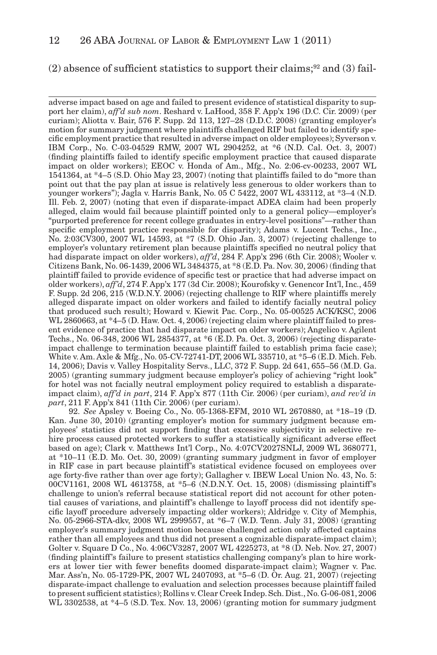#### $(2)$  absence of sufficient statistics to support their claims;<sup>92</sup> and  $(3)$  fail-

adverse impact based on age and failed to present evidence of statistical disparity to support her claim), *aff'd sub nom*. Reshard v. LaHood, 358 F. App'x 196 (D.C. Cir. 2009) (per curiam); Aliotta v. Bair, 576 F. Supp. 2d 113, 127–28 (D.D.C. 2008) (granting employer's motion for summary judgment where plaintiffs challenged RIF but failed to identify specific employment practice that resulted in adverse impact on older employees); Syverson v. IBM Corp., No. C-03-04529 RMW, 2007 WL 2904252, at \*6 (N.D. Cal. Oct. 3, 2007) (finding plaintiffs failed to identify specific employment practice that caused disparate impact on older workers); EEOC v. Honda of Am., Mfg., No. 2:06-cv-00233, 2007 WL 1541364, at \*4–5 (S.D. Ohio May 23, 2007) (noting that plaintiffs failed to do "more than point out that the pay plan at issue is relatively less generous to older workers than to younger workers"); Jagla v. Harris Bank, No. 05 C 5422, 2007 WL 433112, at \*3–4 (N.D. Ill. Feb. 2, 2007) (noting that even if disparate-impact ADEA claim had been properly alleged, claim would fail because plaintiff pointed only to a general policy—employer's "purported preference for recent college graduates in entry-level positions"—rather than specific employment practice responsible for disparity); Adams v. Lucent Techs., Inc., No. 2:03CV300, 2007 WL 14593, at \*7 (S.D. Ohio Jan. 3, 2007) (rejecting challenge to employer's voluntary retirement plan because plaintiffs specified no neutral policy that had disparate impact on older workers), *aff'd*, 284 F. App'x 296 (6th Cir. 2008); Wooler v. Citizens Bank, No. 06-1439, 2006 WL 3484375, at \*8 (E.D. Pa. Nov. 30, 2006) (finding that plaintiff failed to provide evidence of specific test or practice that had adverse impact on older workers), *aff'd*, 274 F. App'x 177 (3d Cir. 2008); Kourofsky v. Genencor Int'l, Inc., 459 F. Supp. 2d 206, 215 (W.D.N.Y. 2006) (rejecting challenge to RIF where plaintiffs merely alleged disparate impact on older workers and failed to identify facially neutral policy that produced such result); Howard v. Kiewit Pac. Corp., No. 05-00525 ACK/KSC, 2006 WL 2860663, at  $*4-5$  (D. Haw. Oct. 4, 2006) (rejecting claim where plaintiff failed to present evidence of practice that had disparate impact on older workers); Angelico v. Agilent Techs., No. 06-348, 2006 WL 2854377, at \*6 (E.D. Pa. Oct. 3, 2006) (rejecting disparateimpact challenge to termination because plaintiff failed to establish prima facie case); White v. Am. Axle & Mfg., No. 05-CV-72741-DT, 2006 WL 335710, at \*5–6 (E.D. Mich. Feb. 14, 2006); Davis v. Valley Hospitality Servs., LLC, 372 F. Supp. 2d 641, 655–56 (M.D. Ga. 2005) (granting summary judgment because employer's policy of achieving "right look" for hotel was not facially neutral employment policy required to establish a disparateimpact claim), *aff'd in part*, 214 F. App'x 877 (11th Cir. 2006) (per curiam), *and rev'd in part*, 211 F. App'x 841 (11th Cir. 2006) (per curiam).

92. *See* Apsley v. Boeing Co., No. 05-1368-EFM, 2010 WL 2670880, at \*18–19 (D. Kan. June 30, 2010) (granting employer's motion for summary judgment because employees' statistics did not support finding that excessive subjectivity in selective rehire process caused protected workers to suffer a statistically significant adverse effect based on age); Clark v. Matthews Int'l Corp., No. 4:07CV2027SNLJ, 2009 WL 3680771, at \*10–11 (E.D. Mo. Oct. 30, 2009) (granting summary judgment in favor of employer in RIF case in part because plaintiff's statistical evidence focused on employees over age forty-five rather than over age forty); Gallagher v. IBEW Local Union No. 43, No. 5: 00CV1161, 2008 WL 4613758, at \*5–6 (N.D.N.Y. Oct. 15, 2008) (dismissing plaintiff's challenge to union's referral because statistical report did not account for other potential causes of variations, and plaintiff's challenge to layoff process did not identify specific layoff procedure adversely impacting older workers); Aldridge v. City of Memphis, No. 05-2966-STA-dkv, 2008 WL 2999557, at \*6–7 (W.D. Tenn. July 31, 2008) (granting employer's summary judgment motion because challenged action only affected captains rather than all employees and thus did not present a cognizable disparate-impact claim); Golter v. Square D Co., No. 4:06CV3287, 2007 WL 4225273, at \*8 (D. Neb. Nov. 27, 2007) (finding plaintiff's failure to present statistics challenging company's plan to hire workers at lower tier with fewer benefits doomed disparate-impact claim); Wagner v. Pac. Mar. Ass'n, No. 05-1729-PK, 2007 WL 2407093, at \*5–6 (D. Or. Aug. 21, 2007) (rejecting disparate-impact challenge to evaluation and selection processes because plaintiff failed to present sufficient statistics); Rollins v. Clear Creek Indep. Sch. Dist., No. G-06-081, 2006 WL 3302538, at \*4–5 (S.D. Tex. Nov. 13, 2006) (granting motion for summary judgment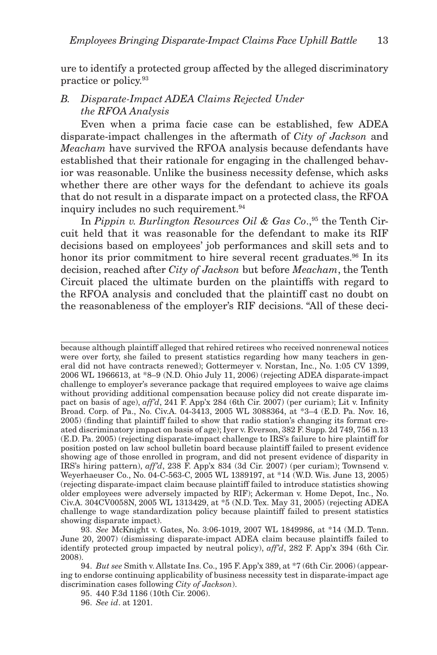ure to identify a protected group affected by the alleged discriminatory practice or policy. 93

## *B. Disparate-Impact ADEA Claims Rejected Under the RFOA Analysis*

Even when a prima facie case can be established, few ADEA disparate-impact challenges in the aftermath of *City of Jackson* and *Meacham* have survived the RFOA analysis because defendants have established that their rationale for engaging in the challenged behavior was reasonable. Unlike the business necessity defense, which asks whether there are other ways for the defendant to achieve its goals that do not result in a disparate impact on a protected class, the RFOA inquiry includes no such requirement. 94

In *Pippin v. Burlington Resources Oil & Gas Co.*<sup>95</sup> the Tenth Circuit held that it was reasonable for the defendant to make its RIF decisions based on employees' job performances and skill sets and to honor its prior commitment to hire several recent graduates.<sup>96</sup> In its decision, reached after *City of Jackson* but before *Meacham*, the Tenth Circuit placed the ultimate burden on the plaintiffs with regard to the RFOA analysis and concluded that the plaintiff cast no doubt on the reasonableness of the employer's RIF decisions. "All of these deci-

because although plaintiff alleged that rehired retirees who received nonrenewal notices were over forty, she failed to present statistics regarding how many teachers in general did not have contracts renewed); Gottermeyer v. Norstan, Inc., No. 1:05 CV 1399, 2006 WL 1966613, at \*8–9 (N.D. Ohio July 11, 2006) (rejecting ADEA disparate-impact challenge to employer's severance package that required employees to waive age claims without providing additional compensation because policy did not create disparate impact on basis of age),  $affd$ , 241 F. App'x 284 (6th Cir. 2007) (per curiam); Lit v. Infinity Broad. Corp. of Pa., No. Civ.A. 04-3413, 2005 WL 3088364, at \*3–4 (E.D. Pa. Nov. 16, 2005) (finding that plaintiff failed to show that radio station's changing its format created discriminatory impact on basis of age); Iyer v. Everson, 382 F. Supp. 2d 749, 756 n.13 (E.D. Pa. 2005) (rejecting disparate-impact challenge to IRS's failure to hire plaintiff for position posted on law school bulletin board because plaintiff failed to present evidence showing age of those enrolled in program, and did not present evidence of disparity in IRS's hiring pattern), *aff'd*, 238 F. App'x 834 (3d Cir. 2007) (per curiam); Townsend v. Weyerhaeuser Co., No. 04-C-563-C, 2005 WL 1389197, at \*14 (W.D. Wis. June 13, 2005) (rejecting disparate-impact claim because plaintiff failed to introduce statistics showing older employees were adversely impacted by RIF); Ackerman v. Home Depot, Inc., No. Civ.A. 304CV0058N, 2005 WL 1313429, at \*5 (N.D. Tex. May 31, 2005) (rejecting ADEA challenge to wage standardization policy because plaintiff failed to present statistics showing disparate impact).

93. *See* McKnight v. Gates, No. 3:06-1019, 2007 WL 1849986, at \*14 (M.D. Tenn. June 20, 2007) (dismissing disparate-impact ADEA claim because plaintiffs failed to identify protected group impacted by neutral policy), *aff'd*, 282 F. App'x 394 (6th Cir. 2008).

94. *But see* Smith v. Allstate Ins. Co., 195 F. App'x 389, at \*7 (6th Cir. 2006) (appearing to endorse continuing applicability of business necessity test in disparate-impact age discrimination cases following *City of Jackson*).

95. 440 F.3d 1186 (10th Cir. 2006).

96. *See id*. at 1201.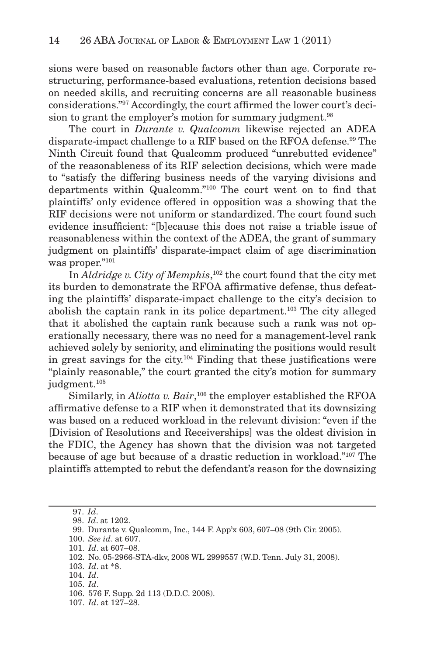sions were based on reasonable factors other than age. Corporate restructuring, performance-based evaluations, retention decisions based on needed skills, and recruiting concerns are all reasonable business considerations."<sup>97</sup> Accordingly, the court affirmed the lower court's decision to grant the employer's motion for summary judgment.<sup>98</sup>

The court in *Durante v. Qualcomm* likewise rejected an ADEA disparate-impact challenge to a RIF based on the RFOA defense. 99 The Ninth Circuit found that Qualcomm produced "unrebutted evidence" of the reasonableness of its RIF selection decisions, which were made to "satisfy the differing business needs of the varying divisions and departments within Qualcomm."<sup>100</sup> The court went on to find that plaintiffs' only evidence offered in opposition was a showing that the RIF decisions were not uniform or standardized. The court found such evidence insufficient: "[b]ecause this does not raise a triable issue of reasonableness within the context of the ADEA, the grant of summary judgment on plaintiffs' disparate-impact claim of age discrimination was proper."101

In *Aldridge v. City of Memphis*,<sup>102</sup> the court found that the city met its burden to demonstrate the RFOA affirmative defense, thus defeating the plaintiffs' disparate-impact challenge to the city's decision to abolish the captain rank in its police department. 103 The city alleged that it abolished the captain rank because such a rank was not operationally necessary, there was no need for a management-level rank achieved solely by seniority, and eliminating the positions would result in great savings for the city.<sup> $104$ </sup> Finding that these justifications were "plainly reasonable," the court granted the city's motion for summary judgment.<sup>105</sup>

Similarly, in *Aliotta v. Bair*,<sup>106</sup> the employer established the RFOA affirmative defense to a RIF when it demonstrated that its downsizing was based on a reduced workload in the relevant division: "even if the [Division of Resolutions and Receiverships] was the oldest division in the FDIC, the Agency has shown that the division was not targeted because of age but because of a drastic reduction in workload."<sup>107</sup> The plaintiffs attempted to rebut the defendant's reason for the downsizing

 <sup>97.</sup> *Id*.

 <sup>98.</sup> *Id*. at 1202.

 <sup>99.</sup> Durante v. Qualcomm, Inc., 144 F. App'x 603, 607–08 (9th Cir. 2005).

<sup>100.</sup> *See id*. at 607.

<sup>101.</sup> *Id*. at 607–08.

<sup>102.</sup> No. 05-2966-STA-dkv, 2008 WL 2999557 (W.D. Tenn. July 31, 2008).

<sup>103.</sup> *Id*. at \*8.

<sup>104.</sup> *Id*. 105. *Id*.

<sup>106. 576</sup> F. Supp. 2d 113 (D.D.C. 2008).

<sup>107.</sup> *Id*. at 127–28.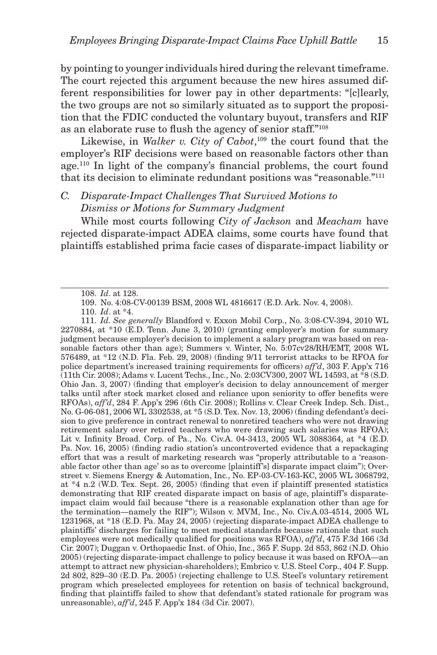by pointing to younger individuals hired during the relevant timeframe. The court rejected this argument because the new hires assumed different responsibilities for lower pay in other departments: "[c]learly, the two groups are not so similarly situated as to support the proposition that the FDIC conducted the voluntary buyout, transfers and RIF as an elaborate ruse to flush the agency of senior staff."<sup>108</sup>

Likewise, in *Walker v. City of Cabot*,<sup>109</sup> the court found that the employer's RIF decisions were based on reasonable factors other than age.<sup>110</sup> In light of the company's financial problems, the court found that its decision to eliminate redundant positions was "reasonable."<sup>111</sup>

## *C. Disparate-Impact Challenges That Survived Motions to Dismiss or Motions for Summary Judgment*

While most courts following *City of Jackson* and *Meacham* have rejected disparate-impact ADEA claims, some courts have found that plaintiffs established prima facie cases of disparate-impact liability or

111. *Id. See generally* Blandford v. Exxon Mobil Corp., No. 3:08-CV-394, 2010 WL 2270884, at \*10 (E.D. Tenn. June 3, 2010) (granting employer's motion for summary judgment because employer's decision to implement a salary program was based on reasonable factors other than age); Summers v. Winter, No. 5:07cv28/RH/EMT, 2008 WL 576489, at  $*12$  (N.D. Fla. Feb. 29, 2008) (finding  $9/11$  terrorist attacks to be RFOA for police department's increased training requirements for officers)  $aff'd$ , 303 F. App'x 716 (11th Cir. 2008); Adams v. Lucent Techs., Inc., No. 2:03CV300, 2007 WL 14593, at \*8 (S.D. Ohio Jan. 3, 2007) (finding that employer's decision to delay announcement of merger talks until after stock market closed and reliance upon seniority to offer benefits were RFOAs), *aff'd*, 284 F. App'x 296 (6th Cir. 2008); Rollins v. Clear Creek Indep. Sch. Dist., No. G-06-081, 2006 WL 3302538, at \*5 (S.D. Tex. Nov. 13, 2006) (finding defendant's decision to give preference in contract renewal to nonretired teachers who were not drawing retirement salary over retired teachers who were drawing such salaries was RFOA); Lit v. Infinity Broad. Corp. of Pa., No. Civ.A. 04-3413, 2005 WL 3088364, at \*4 (E.D. Pa. Nov. 16, 2005) (finding radio station's uncontroverted evidence that a repackaging effort that was a result of marketing research was "properly attributable to a 'reasonable factor other than age' so as to overcome [plaintiff's] disparate impact claim"); Overstreet v. Siemens Energy & Automation, Inc., No. EP-03-CV-163-KC, 2005 WL 3068792, at  $*4$  n.2 (W.D. Tex. Sept. 26, 2005) (finding that even if plaintiff presented statistics demonstrating that RIF created disparate impact on basis of age, plaintiff's disparateimpact claim would fail because "there is a reasonable explanation other than age for the termination—namely the RIF"); Wilson v. MVM, Inc., No. Civ.A.03-4514, 2005 WL 1231968, at \*18 (E.D. Pa. May 24, 2005) (rejecting disparate-impact ADEA challenge to plaintiffs' discharges for failing to meet medical standards because rationale that such employees were not medically qualified for positions was RFOA),  $\alpha f/d$ , 475 F.3d 166 (3d Cir. 2007); Duggan v. Orthopaedic Inst. of Ohio, Inc., 365 F. Supp. 2d 853, 862 (N.D. Ohio 2005) (rejecting disparate-impact challenge to policy because it was based on RFOA—an attempt to attract new physician-shareholders); Embrico v. U.S. Steel Corp., 404 F. Supp. 2d 802, 829–30 (E.D. Pa. 2005) (rejecting challenge to U.S. Steel's voluntary retirement program which preselected employees for retention on basis of technical background, finding that plaintiffs failed to show that defendant's stated rationale for program was unreasonable), *aff'd*, 245 F. App'x 184 (3d Cir. 2007).

<sup>108.</sup> *Id*. at 128.

<sup>109.</sup> No. 4:08-CV-00139 BSM, 2008 WL 4816617 (E.D. Ark. Nov. 4, 2008).

<sup>110.</sup> *Id*. at \*4.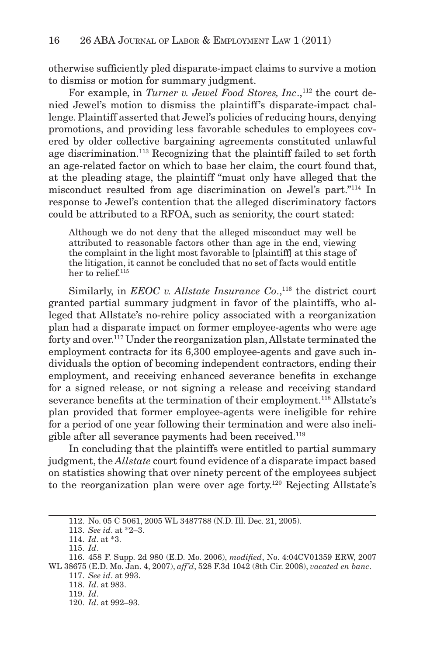otherwise sufficiently pled disparate-impact claims to survive a motion to dismiss or motion for summary judgment.

For example, in *Turner v. Jewel Food Stores, Inc.*,<sup>112</sup> the court denied Jewel's motion to dismiss the plaintiff's disparate-impact challenge. Plaintiff asserted that Jewel's policies of reducing hours, denying promotions, and providing less favorable schedules to employees covered by older collective bargaining agreements constituted unlawful age discrimination. 113 Recognizing that the plaintiff failed to set forth an age-related factor on which to base her claim, the court found that, at the pleading stage, the plaintiff "must only have alleged that the misconduct resulted from age discrimination on Jewel's part."<sup>114</sup> In response to Jewel's contention that the alleged discriminatory factors could be attributed to a RFOA, such as seniority, the court stated:

Although we do not deny that the alleged misconduct may well be attributed to reasonable factors other than age in the end, viewing the complaint in the light most favorable to [plaintiff] at this stage of the litigation, it cannot be concluded that no set of facts would entitle her to relief.<sup>115</sup>

Similarly, in *EEOC v. Allstate Insurance Co.*,<sup>116</sup> the district court granted partial summary judgment in favor of the plaintiffs, who alleged that Allstate's no-rehire policy associated with a reorganization plan had a disparate impact on former employee-agents who were age forty and over. 117 Under the reorganization plan, Allstate terminated the employment contracts for its 6,300 employee-agents and gave such individuals the option of becoming independent contractors, ending their employment, and receiving enhanced severance benefits in exchange for a signed release, or not signing a release and receiving standard severance benefits at the termination of their employment.<sup>118</sup> Allstate's plan provided that former employee-agents were ineligible for rehire for a period of one year following their termination and were also ineligible after all severance payments had been received. 119

In concluding that the plaintiffs were entitled to partial summary judgment, the *Allstate* court found evidence of a disparate impact based on statistics showing that over ninety percent of the employees subject to the reorganization plan were over age forty.<sup>120</sup> Rejecting Allstate's

120. *Id*. at 992–93.

<sup>112.</sup> No. 05 C 5061, 2005 WL 3487788 (N.D. Ill. Dec. 21, 2005).

<sup>113.</sup> *See id*. at \*2–3.

<sup>114.</sup> *Id*. at \*3.

<sup>115.</sup> *Id*.

<sup>116. 458</sup> F. Supp. 2d 980 (E.D. Mo. 2006), *modified*, No. 4:04CV01359 ERW, 2007 WL 38675 (E.D. Mo. Jan. 4, 2007), *aff'd*, 528 F.3d 1042 (8th Cir. 2008), *vacated en banc*. 117. *See id*. at 993. 118. *Id*. at 983.

<sup>119.</sup> *Id*.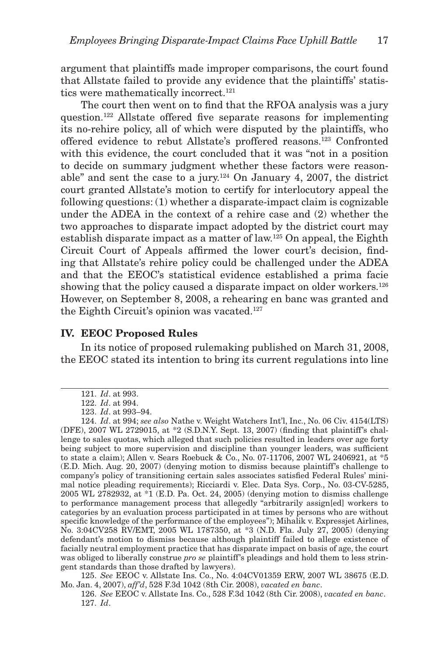argument that plaintiffs made improper comparisons, the court found that Allstate failed to provide any evidence that the plaintiffs' statistics were mathematically incorrect.<sup>121</sup>

The court then went on to find that the RFOA analysis was a jury question.<sup>122</sup> Allstate offered five separate reasons for implementing its no-rehire policy, all of which were disputed by the plaintiffs, who offered evidence to rebut Allstate's proffered reasons. 123 Confronted with this evidence, the court concluded that it was "not in a position to decide on summary judgment whether these factors were reasonable" and sent the case to a jury. $124$  On January 4, 2007, the district court granted Allstate's motion to certify for interlocutory appeal the following questions: (1) whether a disparate-impact claim is cognizable under the ADEA in the context of a rehire case and (2) whether the two approaches to disparate impact adopted by the district court may establish disparate impact as a matter of law. 125 On appeal, the Eighth Circuit Court of Appeals affirmed the lower court's decision, finding that Allstate's rehire policy could be challenged under the ADEA and that the EEOC's statistical evidence established a prima facie showing that the policy caused a disparate impact on older workers.<sup>126</sup> However, on September 8, 2008, a rehearing en banc was granted and the Eighth Circuit's opinion was vacated. 127

#### **IV. EEOC Proposed Rules**

In its notice of proposed rulemaking published on March 31, 2008, the EEOC stated its intention to bring its current regulations into line

125. *See* EEOC v. Allstate Ins. Co., No. 4:04CV01359 ERW, 2007 WL 38675 (E.D. Mo. Jan. 4, 2007), *aff'd*, 528 F.3d 1042 (8th Cir. 2008), *vacated en banc*.

<sup>121.</sup> *Id*. at 993.

<sup>122.</sup> *Id*. at 994.

<sup>123.</sup> *Id*. at 993–94.

<sup>124.</sup> *Id*. at 994; *see also* Nathe v. Weight Watchers Int'l, Inc., No. 06 Civ. 4154(LTS) (DFE), 2007 WL 2729015, at  $*2$  (S.D.N.Y. Sept. 13, 2007) (finding that plaintiff's challenge to sales quotas, which alleged that such policies resulted in leaders over age forty being subject to more supervision and discipline than younger leaders, was sufficient to state a claim); Allen v. Sears Roebuck & Co., No. 07-11706, 2007 WL 2406921, at \*5 (E.D. Mich. Aug. 20, 2007) (denying motion to dismiss because plaintiff's challenge to company's policy of transitioning certain sales associates satisfied Federal Rules' minimal notice pleading requirements); Ricciardi v. Elec. Data Sys. Corp., No. 03-CV-5285, 2005 WL 2782932, at \*1 (E.D. Pa. Oct. 24, 2005) (denying motion to dismiss challenge to performance management process that allegedly "arbitrarily assign[ed] workers to categories by an evaluation process participated in at times by persons who are without specific knowledge of the performance of the employees"); Mihalik v. Expressjet Airlines, No. 3:04CV258 RV/EMT, 2005 WL 1787350, at \*3 (N.D. Fla. July 27, 2005) (denying defendant's motion to dismiss because although plaintiff failed to allege existence of facially neutral employment practice that has disparate impact on basis of age, the court was obliged to liberally construe *pro se* plaintiff's pleadings and hold them to less stringent standards than those drafted by lawyers).

<sup>126.</sup> *See* EEOC v. Allstate Ins. Co., 528 F.3d 1042 (8th Cir. 2008), *vacated en banc*. 127. *Id*.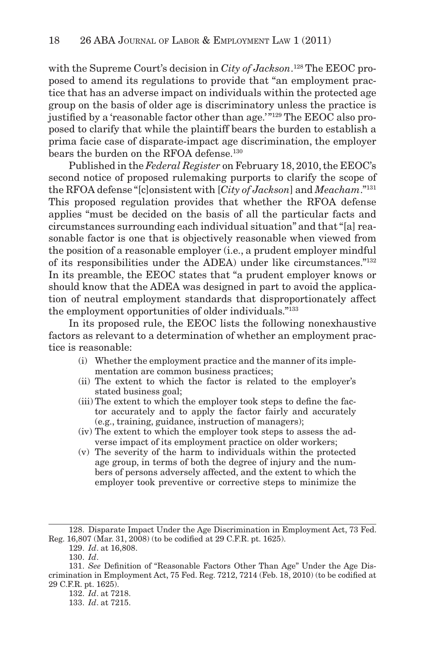with the Supreme Court's decision in *City of Jackson*. 128 The EEOC proposed to amend its regulations to provide that "an employment practice that has an adverse impact on individuals within the protected age group on the basis of older age is discriminatory unless the practice is justified by a 'reasonable factor other than age.'"<sup>129</sup> The EEOC also proposed to clarify that while the plaintiff bears the burden to establish a prima facie case of disparate-impact age discrimination, the employer bears the burden on the RFOA defense.<sup>130</sup>

Published in the *Federal Register* on February 18, 2010, the EEOC's second notice of proposed rulemaking purports to clarify the scope of the RFOA defense "[c]onsistent with [ *City of Jackson*] and *Meacham*." 131 This proposed regulation provides that whether the RFOA defense applies "must be decided on the basis of all the particular facts and circumstances surrounding each individual situation" and that "[a] reasonable factor is one that is objectively reasonable when viewed from the position of a reasonable employer (i.e., a prudent employer mindful of its responsibilities under the ADEA) under like circumstances."<sup>132</sup> In its preamble, the EEOC states that "a prudent employer knows or should know that the ADEA was designed in part to avoid the application of neutral employment standards that disproportionately affect the employment opportunities of older individuals."<sup>133</sup>

In its proposed rule, the EEOC lists the following nonexhaustive factors as relevant to a determination of whether an employment practice is reasonable:

- (i) Whether the employment practice and the manner of its implementation are common business practices;
- (ii) The extent to which the factor is related to the employer's stated business goal;
- (iii) The extent to which the employer took steps to define the factor accurately and to apply the factor fairly and accurately (e.g., training, guidance, instruction of managers);
- (iv) The extent to which the employer took steps to assess the adverse impact of its employment practice on older workers;
- (v) The severity of the harm to individuals within the protected age group, in terms of both the degree of injury and the numbers of persons adversely affected, and the extent to which the employer took preventive or corrective steps to minimize the

<sup>128.</sup> Disparate Impact Under the Age Discrimination in Employment Act, 73 Fed. Reg. 16,807 (Mar. 31, 2008) (to be codified at 29 C.F.R. pt. 1625).

<sup>129.</sup> *Id*. at 16,808.

<sup>130.</sup> *Id*.

<sup>131.</sup> *See* Definition of "Reasonable Factors Other Than Age" Under the Age Discrimination in Employment Act, 75 Fed. Reg.  $7212, 7214$  (Feb. 18, 2010) (to be codified at 29 C.F.R. pt. 1625).

<sup>132.</sup> *Id*. at 7218.

<sup>133.</sup> *Id*. at 7215.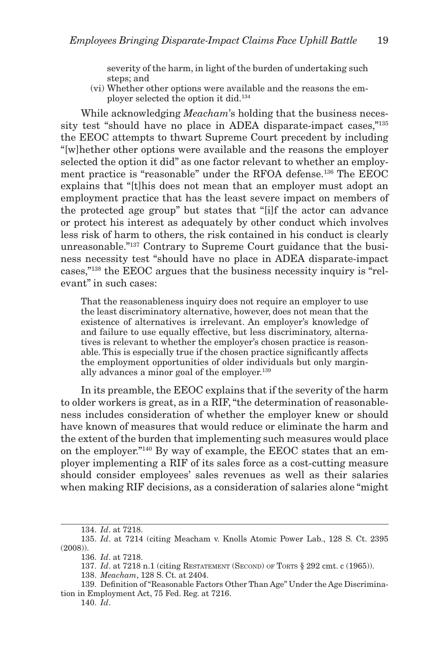severity of the harm, in light of the burden of undertaking such steps; and

(vi) Whether other options were available and the reasons the employer selected the option it did. 134

While acknowledging *Meacham*'s holding that the business necessity test "should have no place in ADEA disparate-impact cases,"<sup>135</sup> the EEOC attempts to thwart Supreme Court precedent by including "[w]hether other options were available and the reasons the employer selected the option it did" as one factor relevant to whether an employment practice is "reasonable" under the RFOA defense. 136 The EEOC explains that "[t]his does not mean that an employer must adopt an employment practice that has the least severe impact on members of the protected age group" but states that "[i]f the actor can advance or protect his interest as adequately by other conduct which involves less risk of harm to others, the risk contained in his conduct is clearly unreasonable."<sup>137</sup> Contrary to Supreme Court guidance that the business necessity test "should have no place in ADEA disparate-impact cases," 138 the EEOC argues that the business necessity inquiry is "relevant" in such cases:

That the reasonableness inquiry does not require an employer to use the least discriminatory alternative, however, does not mean that the existence of alternatives is irrelevant. An employer's knowledge of and failure to use equally effective, but less discriminatory, alternatives is relevant to whether the employer's chosen practice is reasonable. This is especially true if the chosen practice significantly affects the employment opportunities of older individuals but only marginally advances a minor goal of the employer. 139

In its preamble, the EEOC explains that if the severity of the harm to older workers is great, as in a RIF, "the determination of reasonableness includes consideration of whether the employer knew or should have known of measures that would reduce or eliminate the harm and the extent of the burden that implementing such measures would place on the employer." 140 By way of example, the EEOC states that an employer implementing a RIF of its sales force as a cost-cutting measure should consider employees' sales revenues as well as their salaries when making RIF decisions, as a consideration of salaries alone "might

<sup>134.</sup> *Id*. at 7218.

<sup>135.</sup> *Id*. at 7214 (citing Meacham v. Knolls Atomic Power Lab., 128 S. Ct. 2395 (2008)).

<sup>136.</sup> *Id*. at 7218.

<sup>137.</sup> *Id*. at 7218 n.1 (citing RESTATEMENT (SECOND) OF TORTS § 292 cmt. c (1965)).

<sup>138.</sup> *Meacham*, 128 S. Ct. at 2404.

<sup>139.</sup> Definition of "Reasonable Factors Other Than Age" Under the Age Discrimination in Employment Act, 75 Fed. Reg. at 7216.

<sup>140.</sup> *Id*.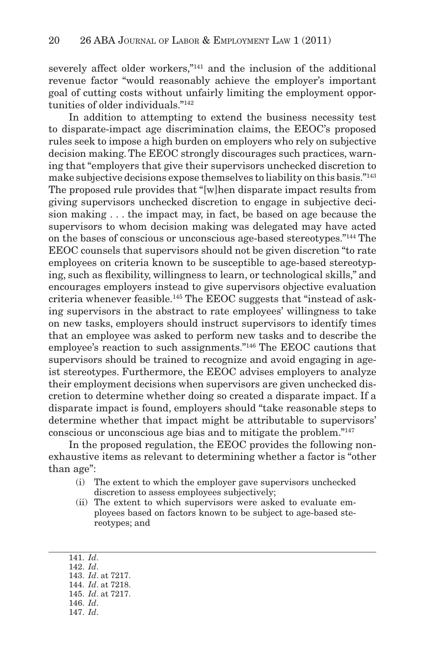severely affect older workers,"<sup>141</sup> and the inclusion of the additional revenue factor "would reasonably achieve the employer's important goal of cutting costs without unfairly limiting the employment opportunities of older individuals."<sup>142</sup>

In addition to attempting to extend the business necessity test to disparate-impact age discrimination claims, the EEOC's proposed rules seek to impose a high burden on employers who rely on subjective decision making. The EEOC strongly discourages such practices, warning that "employers that give their supervisors unchecked discretion to make subjective decisions expose themselves to liability on this basis."<sup>143</sup> The proposed rule provides that "[w]hen disparate impact results from giving supervisors unchecked discretion to engage in subjective decision making . . . the impact may, in fact, be based on age because the supervisors to whom decision making was delegated may have acted on the bases of conscious or unconscious age-based stereotypes." 144 The EEOC counsels that supervisors should not be given discretion "to rate employees on criteria known to be susceptible to age-based stereotyping, such as flexibility, willingness to learn, or technological skills," and encourages employers instead to give supervisors objective evaluation criteria whenever feasible. 145 The EEOC suggests that "instead of asking supervisors in the abstract to rate employees' willingness to take on new tasks, employers should instruct supervisors to identify times that an employee was asked to perform new tasks and to describe the employee's reaction to such assignments." 146 The EEOC cautions that supervisors should be trained to recognize and avoid engaging in ageist stereotypes. Furthermore, the EEOC advises employers to analyze their employment decisions when supervisors are given unchecked discretion to determine whether doing so created a disparate impact. If a disparate impact is found, employers should "take reasonable steps to determine whether that impact might be attributable to supervisors' conscious or unconscious age bias and to mitigate the problem."<sup>147</sup>

In the proposed regulation, the EEOC provides the following nonexhaustive items as relevant to determining whether a factor is "other than age":

- (i) The extent to which the employer gave supervisors unchecked discretion to assess employees subjectively;
- (ii) The extent to which supervisors were asked to evaluate employees based on factors known to be subject to age-based stereotypes; and
- 141. *Id*.
- 142. *Id*.
- 143. *Id*. at 7217.
- 144. *Id*. at 7218.
- 145. *Id*. at 7217.
- 146. *Id*.
- 147. *Id*.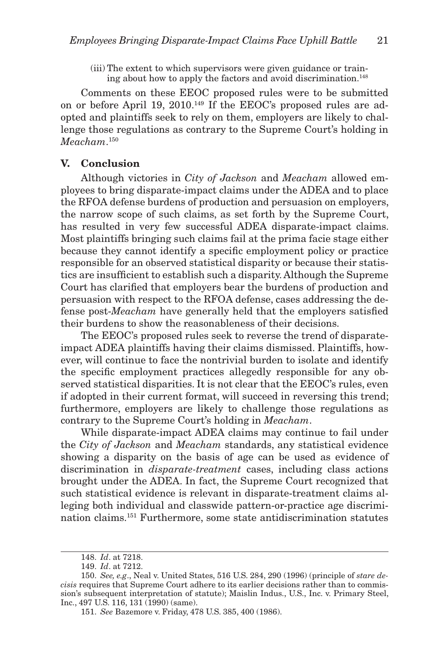(iii) The extent to which supervisors were given guidance or training about how to apply the factors and avoid discrimination. 148

Comments on these EEOC proposed rules were to be submitted on or before April 19, 2010. 149 If the EEOC's proposed rules are adopted and plaintiffs seek to rely on them, employers are likely to challenge those regulations as contrary to the Supreme Court's holding in *Meacham*. 150

#### **V. Conclusion**

Although victories in *City of Jackson* and *Meacham* allowed employees to bring disparate-impact claims under the ADEA and to place the RFOA defense burdens of production and persuasion on employers, the narrow scope of such claims, as set forth by the Supreme Court, has resulted in very few successful ADEA disparate-impact claims. Most plaintiffs bringing such claims fail at the prima facie stage either because they cannot identify a specific employment policy or practice responsible for an observed statistical disparity or because their statistics are insufficient to establish such a disparity. Although the Supreme Court has clarified that employers bear the burdens of production and persuasion with respect to the RFOA defense, cases addressing the defense post-*Meacham* have generally held that the employers satisfied their burdens to show the reasonableness of their decisions.

The EEOC's proposed rules seek to reverse the trend of disparateimpact ADEA plaintiffs having their claims dismissed. Plaintiffs, however, will continue to face the nontrivial burden to isolate and identify the specific employment practices allegedly responsible for any observed statistical disparities. It is not clear that the EEOC's rules, even if adopted in their current format, will succeed in reversing this trend; furthermore, employers are likely to challenge those regulations as contrary to the Supreme Court's holding in *Meacham*.

While disparate-impact ADEA claims may continue to fail under the *City of Jackson* and *Meacham* standards, any statistical evidence showing a disparity on the basis of age can be used as evidence of discrimination in *disparate-treatment* cases, including class actions brought under the ADEA. In fact, the Supreme Court recognized that such statistical evidence is relevant in disparate-treatment claims alleging both individual and classwide pattern-or-practice age discrimination claims. 151 Furthermore, some state antidiscrimination statutes

<sup>148.</sup> *Id*. at 7218.

<sup>149.</sup> *Id*. at 7212.

<sup>150.</sup> *See, e.g*., Neal v. United States, 516 U.S. 284, 290 (1996) (principle of *stare decisis* requires that Supreme Court adhere to its earlier decisions rather than to commission's subsequent interpretation of statute); Maislin Indus., U.S., Inc. v. Primary Steel, Inc., 497 U.S. 116, 131 (1990) (same).

<sup>151.</sup> *See* Bazemore v. Friday, 478 U.S. 385, 400 (1986).